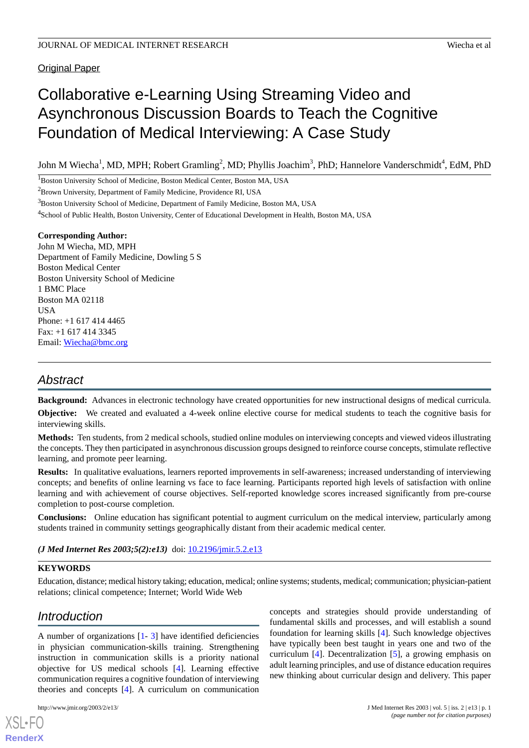# **Original Paper**

# Collaborative e-Learning Using Streaming Video and Asynchronous Discussion Boards to Teach the Cognitive Foundation of Medical Interviewing: A Case Study

John M Wiecha<sup>1</sup>, MD, MPH; Robert Gramling<sup>2</sup>, MD; Phyllis Joachim<sup>3</sup>, PhD; Hannelore Vanderschmidt<sup>4</sup>, EdM, PhD

<sup>1</sup>Boston University School of Medicine, Boston Medical Center, Boston MA, USA

<sup>2</sup>Brown University, Department of Family Medicine, Providence RI, USA

<sup>3</sup>Boston University School of Medicine, Department of Family Medicine, Boston MA, USA

<sup>4</sup>School of Public Health, Boston University, Center of Educational Development in Health, Boston MA, USA

## **Corresponding Author:**

John M Wiecha, MD, MPH Department of Family Medicine, Dowling 5 S Boston Medical Center Boston University School of Medicine 1 BMC Place Boston MA 02118 USA Phone: +1 617 414 4465 Fax: +1 617 414 3345 Email: [Wiecha@bmc.org](mailto:Wiecha@bmc.org)

# *Abstract*

**Background:** Advances in electronic technology have created opportunities for new instructional designs of medical curricula.

**Objective:** We created and evaluated a 4-week online elective course for medical students to teach the cognitive basis for interviewing skills.

**Methods:** Ten students, from 2 medical schools, studied online modules on interviewing concepts and viewed videos illustrating the concepts. They then participated in asynchronous discussion groups designed to reinforce course concepts, stimulate reflective learning, and promote peer learning.

**Results:** In qualitative evaluations, learners reported improvements in self-awareness; increased understanding of interviewing concepts; and benefits of online learning vs face to face learning. Participants reported high levels of satisfaction with online learning and with achievement of course objectives. Self-reported knowledge scores increased significantly from pre-course completion to post-course completion.

**Conclusions:** Online education has significant potential to augment curriculum on the medical interview, particularly among students trained in community settings geographically distant from their academic medical center.

*(J Med Internet Res 2003;5(2):e13)* doi:  $10.2196/$ jmir.5.2.e13

# **KEYWORDS**

Education, distance; medical history taking; education, medical; online systems; students, medical; communication; physician-patient relations; clinical competence; Internet; World Wide Web

# *Introduction*

A number of organizations [\[1](#page-5-0)- [3\]](#page-5-1) have identified deficiencies in physician communication-skills training. Strengthening instruction in communication skills is a priority national objective for US medical schools [\[4](#page-5-2)]. Learning effective communication requires a cognitive foundation of interviewing theories and concepts [\[4](#page-5-2)]. A curriculum on communication

[XSL](http://www.w3.org/Style/XSL)•FO **[RenderX](http://www.renderx.com/)**

concepts and strategies should provide understanding of fundamental skills and processes, and will establish a sound foundation for learning skills [[4\]](#page-5-2). Such knowledge objectives have typically been best taught in years one and two of the curriculum [[4\]](#page-5-2). Decentralization [\[5](#page-5-3)], a growing emphasis on adult learning principles, and use of distance education requires new thinking about curricular design and delivery. This paper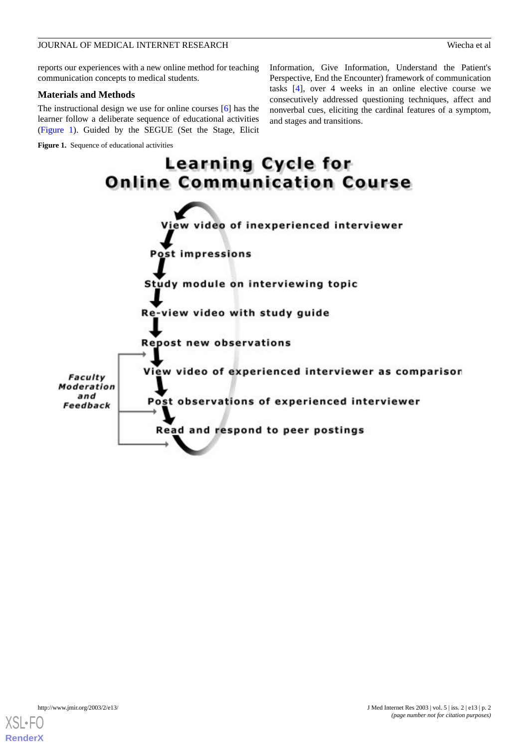reports our experiences with a new online method for teaching communication concepts to medical students.

# **Materials and Methods**

The instructional design we use for online courses [\[6](#page-6-0)] has the learner follow a deliberate sequence of educational activities ([Figure 1](#page-1-0)). Guided by the SEGUE (Set the Stage, Elicit

<span id="page-1-0"></span>**Figure 1.** Sequence of educational activities

Information, Give Information, Understand the Patient's Perspective, End the Encounter) framework of communication tasks [[4\]](#page-5-2), over 4 weeks in an online elective course we consecutively addressed questioning techniques, affect and nonverbal cues, eliciting the cardinal features of a symptom, and stages and transitions.



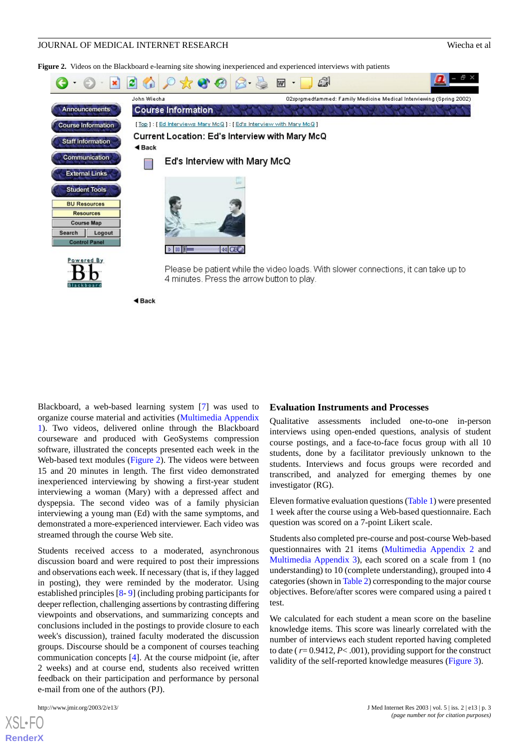<span id="page-2-0"></span>**Figure 2.** Videos on the Blackboard e-learning site showing inexperienced and experienced interviews with patients

|                                                                                                                                                           | e                    |                                                                 | W | ු |                                                                                     | 한 지 |
|-----------------------------------------------------------------------------------------------------------------------------------------------------------|----------------------|-----------------------------------------------------------------|---|---|-------------------------------------------------------------------------------------|-----|
|                                                                                                                                                           | John Wiecha          |                                                                 |   |   | O2sprgmedfammed: Family Medicine Medical Interviewing (Spring 2002)                 |     |
| Announcements                                                                                                                                             |                      | <b>Course Information</b>                                       |   |   |                                                                                     |     |
| <b>Course Information</b>                                                                                                                                 |                      | [Top]: [Ed Interviews Mary McQ]: [Ed's Interview with Mary McQ] |   |   |                                                                                     |     |
| <b>Staff Information</b>                                                                                                                                  | $\triangleleft$ Back | Current Location: Ed's Interview with Mary McQ                  |   |   |                                                                                     |     |
| Communication                                                                                                                                             |                      | Ed's Interview with Mary McQ                                    |   |   |                                                                                     |     |
| <b>External Links</b><br><b>Student Tools</b><br><b>BU Resources</b><br><b>Resources</b><br><b>Course Map</b><br>Logout<br>Search<br><b>Control Panel</b> |                      | $\triangleright$ 00 H<br> 44 CE                                 |   |   |                                                                                     |     |
| Powered By<br>Blackboard                                                                                                                                  |                      | 4 minutes. Press the arrow button to play.                      |   |   | Please be patient while the video loads. With slower connections, it can take up to |     |
|                                                                                                                                                           | $4$ Back             |                                                                 |   |   |                                                                                     |     |

Blackboard, a web-based learning system [[7\]](#page-6-1) was used to organize course material and activities ([Multimedia Appendix](#page-5-4) [1\)](#page-5-4). Two videos, delivered online through the Blackboard courseware and produced with GeoSystems compression software, illustrated the concepts presented each week in the Web-based text modules ([Figure 2\)](#page-2-0). The videos were between 15 and 20 minutes in length. The first video demonstrated inexperienced interviewing by showing a first-year student interviewing a woman (Mary) with a depressed affect and dyspepsia. The second video was of a family physician interviewing a young man (Ed) with the same symptoms, and demonstrated a more-experienced interviewer. Each video was streamed through the course Web site.

Students received access to a moderated, asynchronous discussion board and were required to post their impressions and observations each week. If necessary (that is, if they lagged in posting), they were reminded by the moderator. Using established principles [[8-](#page-6-2) [9](#page-6-3)] (including probing participants for deeper reflection, challenging assertions by contrasting differing viewpoints and observations, and summarizing concepts and conclusions included in the postings to provide closure to each week's discussion), trained faculty moderated the discussion groups. Discourse should be a component of courses teaching communication concepts [\[4\]](#page-5-2). At the course midpoint (ie, after 2 weeks) and at course end, students also received written feedback on their participation and performance by personal e-mail from one of the authors (PJ).

 $XSI - F($ **[RenderX](http://www.renderx.com/)**

#### **Evaluation Instruments and Processes**

Qualitative assessments included one-to-one in-person interviews using open-ended questions, analysis of student course postings, and a face-to-face focus group with all 10 students, done by a facilitator previously unknown to the students. Interviews and focus groups were recorded and transcribed, and analyzed for emerging themes by one investigator (RG).

Eleven formative evaluation questions [\(Table 1\)](#page-3-0) were presented 1 week after the course using a Web-based questionnaire. Each question was scored on a 7-point Likert scale.

Students also completed pre-course and post-course Web-based questionnaires with 21 items [\(Multimedia Appendix 2](#page-5-5) and [Multimedia Appendix 3\)](#page-5-6), each scored on a scale from 1 (no understanding) to 10 (complete understanding), grouped into 4 categories (shown in [Table 2](#page-3-1)) corresponding to the major course objectives. Before/after scores were compared using a paired t test.

We calculated for each student a mean score on the baseline knowledge items. This score was linearly correlated with the number of interviews each student reported having completed to date ( $r = 0.9412$ ,  $P < .001$ ), providing support for the construct validity of the self-reported knowledge measures ([Figure 3](#page-3-2)).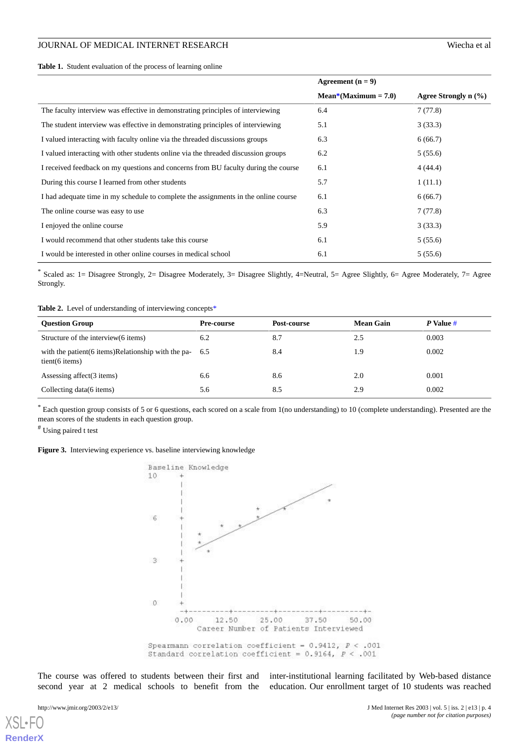<span id="page-3-0"></span>

|                                                                                     | Agreement $(n = 9)$    |                           |  |
|-------------------------------------------------------------------------------------|------------------------|---------------------------|--|
|                                                                                     | $Mean*(Maximum = 7.0)$ | Agree Strongly $n$ $(\%)$ |  |
| The faculty interview was effective in demonstrating principles of interviewing     | 6.4                    | 7(77.8)                   |  |
| The student interview was effective in demonstrating principles of interviewing     | 5.1                    | 3(33.3)                   |  |
| I valued interacting with faculty online via the threaded discussions groups        | 6.3                    | 6(66.7)                   |  |
| I valued interacting with other students online via the threaded discussion groups  | 6.2                    | 5(55.6)                   |  |
| I received feedback on my questions and concerns from BU faculty during the course  | 6.1                    | 4(44.4)                   |  |
| During this course I learned from other students                                    | 5.7                    | 1(11.1)                   |  |
| I had adequate time in my schedule to complete the assignments in the online course | 6.1                    | 6(66.7)                   |  |
| The online course was easy to use                                                   | 6.3                    | 7(77.8)                   |  |
| I enjoyed the online course                                                         | 5.9                    | 3(33.3)                   |  |
| I would recommend that other students take this course                              | 6.1                    | 5(55.6)                   |  |
| I would be interested in other online courses in medical school                     | 6.1                    | 5(55.6)                   |  |

<span id="page-3-1"></span>\* Scaled as: 1= Disagree Strongly, 2= Disagree Moderately, 3= Disagree Slightly, 4=Neutral, 5= Agree Slightly, 6= Agree Moderately, 7= Agree Strongly.

Table 2. Level of understanding of interviewing concepts<sup>\*</sup>

| <b>Ouestion Group</b>                                                          | <b>Pre-course</b> | Post-course | <b>Mean Gain</b> | $P$ Value # |
|--------------------------------------------------------------------------------|-------------------|-------------|------------------|-------------|
| Structure of the interview (6 items)                                           | 6.2               | 8.7         | 2.5              | 0.003       |
| with the patient $(6$ items) Relationship with the pa- $6.5$<br>tient(6 items) |                   | 8.4         | 1.9              | 0.002       |
| Assessing affect(3 items)                                                      | 6.6               | 8.6         | 2.0              | 0.001       |
| Collecting data (6 items)                                                      | 5.6               | 8.5         | 2.9              | 0.002       |

<span id="page-3-2"></span>\* Each question group consists of 5 or 6 questions, each scored on a scale from 1(no understanding) to 10 (complete understanding). Presented are the mean scores of the students in each question group.

# Using paired t test

Figure 3. Interviewing experience vs. baseline interviewing knowledge



The course was offered to students between their first and second year at 2 medical schools to benefit from the

inter-institutional learning facilitated by Web-based distance education. Our enrollment target of 10 students was reached

[XSL](http://www.w3.org/Style/XSL)•FO **[RenderX](http://www.renderx.com/)**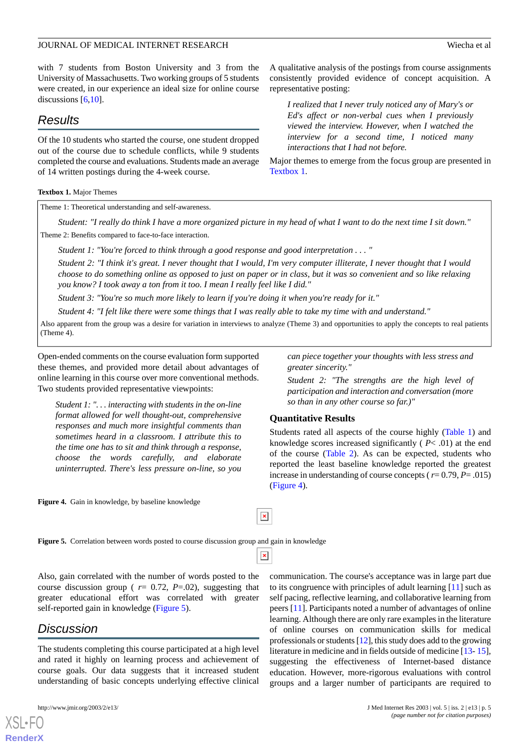with 7 students from Boston University and 3 from the University of Massachusetts. Two working groups of 5 students were created, in our experience an ideal size for online course discussions [[6](#page-6-0)[,10](#page-6-4)].

# *Results*

Of the 10 students who started the course, one student dropped out of the course due to schedule conflicts, while 9 students completed the course and evaluations. Students made an average of 14 written postings during the 4-week course.

#### <span id="page-4-0"></span>**Textbox 1.** Major Themes

Theme 1: Theoretical understanding and self-awareness.

*Student: "I really do think I have a more organized picture in my head of what I want to do the next time I sit down."* Theme 2: Benefits compared to face-to-face interaction.

*Student 1: "You're forced to think through a good response and good interpretation . . . "*

*Student 2: "I think it's great. I never thought that I would, I'm very computer illiterate, I never thought that I would choose to do something online as opposed to just on paper or in class, but it was so convenient and so like relaxing you know? I took away a ton from it too. I mean I really feel like I did."*

*Student 3: "You're so much more likely to learn if you're doing it when you're ready for it."*

*Student 4: "I felt like there were some things that I was really able to take my time with and understand."*

Also apparent from the group was a desire for variation in interviews to analyze (Theme 3) and opportunities to apply the concepts to real patients (Theme 4).

 $\pmb{\times}$ 

 $\pmb{\times}$ 

Open-ended comments on the course evaluation form supported these themes, and provided more detail about advantages of online learning in this course over more conventional methods. Two students provided representative viewpoints:

*Student 1: ". . . interacting with students in the on-line format allowed for well thought-out, comprehensive responses and much more insightful comments than sometimes heard in a classroom. I attribute this to the time one has to sit and think through a response, choose the words carefully, and elaborate uninterrupted. There's less pressure on-line, so you*

<span id="page-4-2"></span><span id="page-4-1"></span>**Figure 4.** Gain in knowledge, by baseline knowledge

*can piece together your thoughts with less stress and greater sincerity."*

A qualitative analysis of the postings from course assignments consistently provided evidence of concept acquisition. A

*I realized that I never truly noticed any of Mary's or Ed's affect or non-verbal cues when I previously viewed the interview. However, when I watched the interview for a second time, I noticed many*

Major themes to emerge from the focus group are presented in

*interactions that I had not before.*

*Student 2: "The strengths are the high level of participation and interaction and conversation (more so than in any other course so far.)"*

# **Quantitative Results**

representative posting:

[Textbox 1.](#page-4-0)

Students rated all aspects of the course highly ([Table 1](#page-3-0)) and knowledge scores increased significantly ( *P*< .01) at the end of the course ([Table 2](#page-3-1)). As can be expected, students who reported the least baseline knowledge reported the greatest increase in understanding of course concepts ( $r=0.79$ ,  $P=.015$ ) ([Figure 4\)](#page-4-1).

**Figure 5.** Correlation between words posted to course discussion group and gain in knowledge

Also, gain correlated with the number of words posted to the course discussion group ( $r = 0.72$ ,  $P = .02$ ), suggesting that greater educational effort was correlated with greater self-reported gain in knowledge ([Figure 5](#page-4-2)).

# *Discussion*

The students completing this course participated at a high level and rated it highly on learning process and achievement of course goals. Our data suggests that it increased student understanding of basic concepts underlying effective clinical

[XSL](http://www.w3.org/Style/XSL)•FO **[RenderX](http://www.renderx.com/)**

communication. The course's acceptance was in large part due to its congruence with principles of adult learning [[11\]](#page-6-5) such as self pacing, reflective learning, and collaborative learning from peers [\[11](#page-6-5)]. Participants noted a number of advantages of online learning. Although there are only rare examples in the literature of online courses on communication skills for medical professionals or students [\[12](#page-6-6)], this study does add to the growing literature in medicine and in fields outside of medicine [[13-](#page-6-7) [15\]](#page-6-8), suggesting the effectiveness of Internet-based distance education. However, more-rigorous evaluations with control groups and a larger number of participants are required to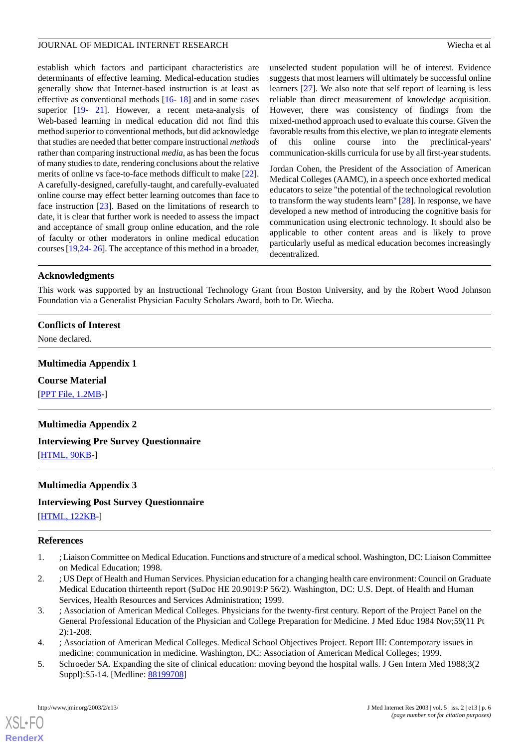establish which factors and participant characteristics are determinants of effective learning. Medical-education studies generally show that Internet-based instruction is at least as effective as conventional methods [[16-](#page-6-9) [18\]](#page-6-10) and in some cases superior [\[19](#page-6-11)- [21](#page-6-12)]. However, a recent meta-analysis of Web-based learning in medical education did not find this method superior to conventional methods, but did acknowledge that studies are needed that better compare instructional *methods* rather than comparing instructional *media*, as has been the focus of many studies to date, rendering conclusions about the relative merits of online vs face-to-face methods difficult to make [[22\]](#page-6-13). A carefully-designed, carefully-taught, and carefully-evaluated online course may effect better learning outcomes than face to face instruction [\[23](#page-6-14)]. Based on the limitations of research to date, it is clear that further work is needed to assess the impact and acceptance of small group online education, and the role of faculty or other moderators in online medical education courses [\[19](#page-6-11),[24-](#page-6-15) [26\]](#page-6-16). The acceptance of this method in a broader, unselected student population will be of interest. Evidence suggests that most learners will ultimately be successful online learners [[27\]](#page-6-17). We also note that self report of learning is less reliable than direct measurement of knowledge acquisition. However, there was consistency of findings from the mixed-method approach used to evaluate this course. Given the favorable results from this elective, we plan to integrate elements of this online course into the preclinical-years' communication-skills curricula for use by all first-year students.

Jordan Cohen, the President of the Association of American Medical Colleges (AAMC), in a speech once exhorted medical educators to seize "the potential of the technological revolution to transform the way students learn" [\[28](#page-6-18)]. In response, we have developed a new method of introducing the cognitive basis for communication using electronic technology. It should also be applicable to other content areas and is likely to prove particularly useful as medical education becomes increasingly decentralized.

## **Acknowledgments**

This work was supported by an Instructional Technology Grant from Boston University, and by the Robert Wood Johnson Foundation via a Generalist Physician Faculty Scholars Award, both to Dr. Wiecha.

# <span id="page-5-4"></span>**Conflicts of Interest**

None declared.

# **Multimedia Appendix 1**

## <span id="page-5-5"></span>**Course Material**

[[PPT File, 1.2MB](https://jmir.org/api/download?alt_name=jmir_v5i2e13_app1.ppt&filename=3df979673d39bcc6f8f9e00147ffc6ab.ppt)-]

# **Multimedia Appendix 2**

# <span id="page-5-6"></span>**Interviewing Pre Survey Questionnaire**

[[HTML, 90KB](https://jmir.org/api/download?alt_name=jmir_v5i2e13_app2.html&filename=4bc0cc11037819bd5a6d2c456221ca4c.html)-]

# **Multimedia Appendix 3**

## <span id="page-5-0"></span>**Interviewing Post Survey Questionnaire**

[[HTML, 122KB](https://jmir.org/api/download?alt_name=jmir_v5i2e13_app3.html&filename=2f687ef7d432f3b6bbd7fb627da854c3.html)-]

## **References**

- <span id="page-5-1"></span>1. ; Liaison Committee on Medical Education. Functions and structure of a medical school. Washington, DC: Liaison Committee on Medical Education; 1998.
- <span id="page-5-2"></span>2. ; US Dept of Health and Human Services. Physician education for a changing health care environment: Council on Graduate Medical Education thirteenth report (SuDoc HE 20.9019:P 56/2). Washington, DC: U.S. Dept. of Health and Human Services, Health Resources and Services Administration; 1999.
- <span id="page-5-3"></span>3. ; Association of American Medical Colleges. Physicians for the twenty-first century. Report of the Project Panel on the General Professional Education of the Physician and College Preparation for Medicine. J Med Educ 1984 Nov;59(11 Pt 2):1-208.
- 4. ; Association of American Medical Colleges. Medical School Objectives Project. Report III: Contemporary issues in medicine: communication in medicine. Washington, DC: Association of American Medical Colleges; 1999.
- 5. Schroeder SA. Expanding the site of clinical education: moving beyond the hospital walls. J Gen Intern Med 1988;3(2 Suppl):S5-14. [Medline: [88199708\]](http://www.ncbi.nlm.nih.gov/entrez/query.fcgi?cmd=Retrieve&db=PubMed&list_uids=88199708&dopt=Abstract)

[XSL](http://www.w3.org/Style/XSL)•FO **[RenderX](http://www.renderx.com/)**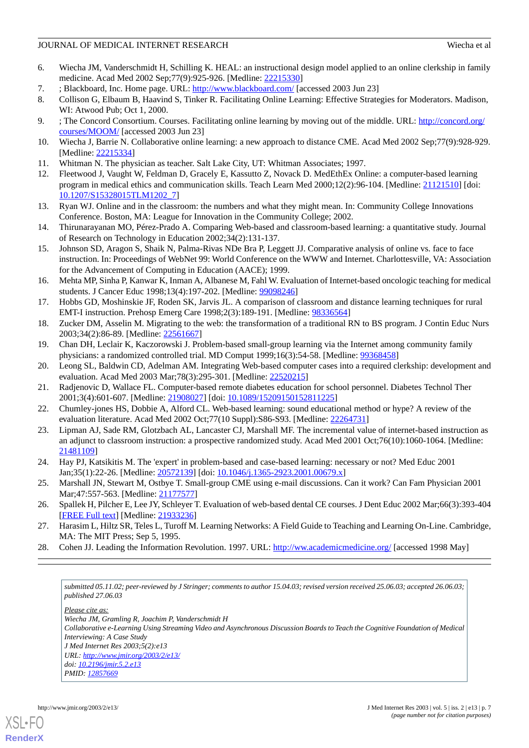- <span id="page-6-0"></span>6. Wiecha JM, Vanderschmidt H, Schilling K. HEAL: an instructional design model applied to an online clerkship in family medicine. Acad Med 2002 Sep;77(9):925-926. [Medline: [22215330\]](http://www.ncbi.nlm.nih.gov/entrez/query.fcgi?cmd=Retrieve&db=PubMed&list_uids=22215330&dopt=Abstract)
- <span id="page-6-2"></span><span id="page-6-1"></span>7. ; Blackboard, Inc. Home page. URL: <http://www.blackboard.com/> [accessed 2003 Jun 23]
- <span id="page-6-3"></span>8. Collison G, Elbaum B, Haavind S, Tinker R. Facilitating Online Learning: Effective Strategies for Moderators. Madison, WI: Atwood Pub; Oct 1, 2000.
- <span id="page-6-4"></span>9. ; The Concord Consortium. Courses. Facilitating online learning by moving out of the middle. URL: [http://concord.org/](http://concord.org/courses/MOOM/) [courses/MOOM/](http://concord.org/courses/MOOM/) [accessed 2003 Jun 23]
- <span id="page-6-5"></span>10. Wiecha J, Barrie N. Collaborative online learning: a new approach to distance CME. Acad Med 2002 Sep;77(9):928-929. [Medline: [22215334](http://www.ncbi.nlm.nih.gov/entrez/query.fcgi?cmd=Retrieve&db=PubMed&list_uids=22215334&dopt=Abstract)]
- <span id="page-6-6"></span>11. Whitman N. The physician as teacher. Salt Lake City, UT: Whitman Associates; 1997.
- <span id="page-6-7"></span>12. Fleetwood J, Vaught W, Feldman D, Gracely E, Kassutto Z, Novack D. MedEthEx Online: a computer-based learning program in medical ethics and communication skills. Teach Learn Med 2000;12(2):96-104. [Medline: [21121510](http://www.ncbi.nlm.nih.gov/entrez/query.fcgi?cmd=Retrieve&db=PubMed&list_uids=21121510&dopt=Abstract)] [doi: [10.1207/S15328015TLM1202\\_7](http://dx.doi.org/10.1207/S15328015TLM1202_7)]
- 13. Ryan WJ. Online and in the classroom: the numbers and what they might mean. In: Community College Innovations Conference. Boston, MA: League for Innovation in the Community College; 2002.
- <span id="page-6-8"></span>14. Thirunarayanan MO, Pérez-Prado A. Comparing Web-based and classroom-based learning: a quantitative study. Journal of Research on Technology in Education 2002;34(2):131-137.
- <span id="page-6-9"></span>15. Johnson SD, Aragon S, Shaik N, Palma-Rivas NDe Bra P, Leggett JJ. Comparative analysis of online vs. face to face instruction. In: Proceedings of WebNet 99: World Conference on the WWW and Internet. Charlottesville, VA: Association for the Advancement of Computing in Education (AACE); 1999.
- 16. Mehta MP, Sinha P, Kanwar K, Inman A, Albanese M, Fahl W. Evaluation of Internet-based oncologic teaching for medical students. J Cancer Educ 1998;13(4):197-202. [Medline: [99098246](http://www.ncbi.nlm.nih.gov/entrez/query.fcgi?cmd=Retrieve&db=PubMed&list_uids=99098246&dopt=Abstract)]
- <span id="page-6-11"></span><span id="page-6-10"></span>17. Hobbs GD, Moshinskie JF, Roden SK, Jarvis JL. A comparison of classroom and distance learning techniques for rural EMT-I instruction. Prehosp Emerg Care 1998;2(3):189-191. [Medline: [98336564](http://www.ncbi.nlm.nih.gov/entrez/query.fcgi?cmd=Retrieve&db=PubMed&list_uids=98336564&dopt=Abstract)]
- 18. Zucker DM, Asselin M. Migrating to the web: the transformation of a traditional RN to BS program. J Contin Educ Nurs 2003;34(2):86-89. [Medline: [22561667](http://www.ncbi.nlm.nih.gov/entrez/query.fcgi?cmd=Retrieve&db=PubMed&list_uids=22561667&dopt=Abstract)]
- <span id="page-6-12"></span>19. Chan DH, Leclair K, Kaczorowski J. Problem-based small-group learning via the Internet among community family physicians: a randomized controlled trial. MD Comput 1999;16(3):54-58. [Medline: [99368458\]](http://www.ncbi.nlm.nih.gov/entrez/query.fcgi?cmd=Retrieve&db=PubMed&list_uids=99368458&dopt=Abstract)
- <span id="page-6-13"></span>20. Leong SL, Baldwin CD, Adelman AM. Integrating Web-based computer cases into a required clerkship: development and evaluation. Acad Med 2003 Mar;78(3):295-301. [Medline: [22520215\]](http://www.ncbi.nlm.nih.gov/entrez/query.fcgi?cmd=Retrieve&db=PubMed&list_uids=22520215&dopt=Abstract)
- <span id="page-6-14"></span>21. Radjenovic D, Wallace FL. Computer-based remote diabetes education for school personnel. Diabetes Technol Ther 2001;3(4):601-607. [Medline: [21908027](http://www.ncbi.nlm.nih.gov/entrez/query.fcgi?cmd=Retrieve&db=PubMed&list_uids=21908027&dopt=Abstract)] [doi: [10.1089/15209150152811225](http://dx.doi.org/10.1089/15209150152811225)]
- <span id="page-6-15"></span>22. Chumley-jones HS, Dobbie A, Alford CL. Web-based learning: sound educational method or hype? A review of the evaluation literature. Acad Med 2002 Oct;77(10 Suppl):S86-S93. [Medline: [22264731](http://www.ncbi.nlm.nih.gov/entrez/query.fcgi?cmd=Retrieve&db=PubMed&list_uids=22264731&dopt=Abstract)]
- 23. Lipman AJ, Sade RM, Glotzbach AL, Lancaster CJ, Marshall MF. The incremental value of internet-based instruction as an adjunct to classroom instruction: a prospective randomized study. Acad Med 2001 Oct;76(10):1060-1064. [Medline: [21481109](http://www.ncbi.nlm.nih.gov/entrez/query.fcgi?cmd=Retrieve&db=PubMed&list_uids=21481109&dopt=Abstract)]
- <span id="page-6-16"></span>24. Hay PJ, Katsikitis M. The 'expert' in problem-based and case-based learning: necessary or not? Med Educ 2001 Jan;35(1):22-26. [Medline: [20572139](http://www.ncbi.nlm.nih.gov/entrez/query.fcgi?cmd=Retrieve&db=PubMed&list_uids=20572139&dopt=Abstract)] [doi: [10.1046/j.1365-2923.2001.00679.x\]](http://dx.doi.org/10.1046/j.1365-2923.2001.00679.x)
- <span id="page-6-18"></span><span id="page-6-17"></span>25. Marshall JN, Stewart M, Ostbye T. Small-group CME using e-mail discussions. Can it work? Can Fam Physician 2001 Mar;47:557-563. [Medline: [21177577](http://www.ncbi.nlm.nih.gov/entrez/query.fcgi?cmd=Retrieve&db=PubMed&list_uids=21177577&dopt=Abstract)]
- 26. Spallek H, Pilcher E, Lee JY, Schleyer T. Evaluation of web-based dental CE courses. J Dent Educ 2002 Mar;66(3):393-404 [[FREE Full text](http://www.jdentaled.org/cgi/pmidlookup?view=reprint&pmid=11936230)] [Medline: [21933236](http://www.ncbi.nlm.nih.gov/entrez/query.fcgi?cmd=Retrieve&db=PubMed&list_uids=21933236&dopt=Abstract)]
- 27. Harasim L, Hiltz SR, Teles L, Turoff M. Learning Networks: A Field Guide to Teaching and Learning On-Line. Cambridge, MA: The MIT Press; Sep 5, 1995.
- 28. Cohen JJ. Leading the Information Revolution. 1997. URL: <http://ww.academicmedicine.org/> [accessed 1998 May]

*submitted 05.11.02; peer-reviewed by J Stringer; comments to author 15.04.03; revised version received 25.06.03; accepted 26.06.03; published 27.06.03*

*Please cite as:*

*Wiecha JM, Gramling R, Joachim P, Vanderschmidt H Collaborative e-Learning Using Streaming Video and Asynchronous Discussion Boards to Teach the Cognitive Foundation of Medical Interviewing: A Case Study J Med Internet Res 2003;5(2):e13 URL: <http://www.jmir.org/2003/2/e13/> doi: [10.2196/jmir.5.2.e13](http://dx.doi.org/10.2196/jmir.5.2.e13) PMID: [12857669](http://www.ncbi.nlm.nih.gov/entrez/query.fcgi?cmd=Retrieve&db=PubMed&list_uids=12857669&dopt=Abstract)*